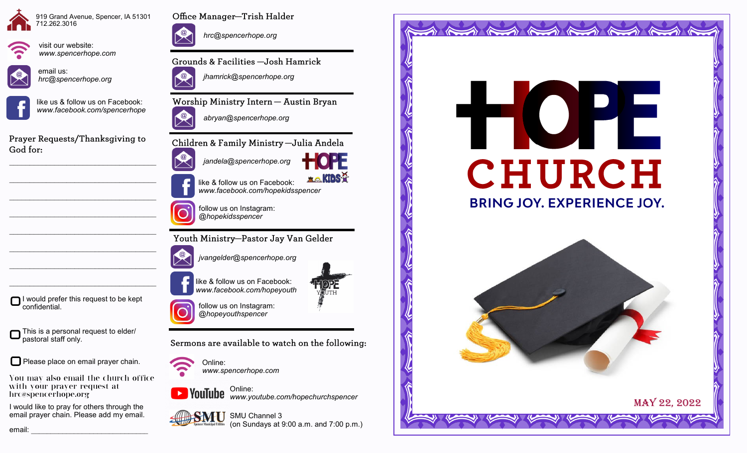





visit our website: *www.spencerhope.com*

email us: *hrc@spencerhope.org*



like us & follow us on Facebook: *www.facebook.com/spencerhope*

Prayer Requests/Thanksgiving to God for:

 $\mathcal{L}_\text{max}$  , and the set of the set of the set of the set of the set of the set of the set of the set of the set of the set of the set of the set of the set of the set of the set of the set of the set of the set of the

 $\mathcal{L}_\text{max}$  , and the set of the set of the set of the set of the set of the set of the set of the set of the set of the set of the set of the set of the set of the set of the set of the set of the set of the set of the

 $\mathcal{L}_\text{max}$  , and the set of the set of the set of the set of the set of the set of the set of the set of the set of the set of the set of the set of the set of the set of the set of the set of the set of the set of the

 $\mathcal{L}_\text{max}$ 

 $\mathcal{L}_\text{max}$ 

 $\mathcal{L}_\text{max}$ 

I would prefer this request to be kept

This is a personal request to elder/

Please place on email prayer chain.

I would like to pray for others through the email prayer chain. Please add my email.

with your prayer request at

confidential.

pastoral staff only.

hrc@spencerhope.org



Office Manager-Trish Halder

*hrc@spencerhope.org*

Grounds & Facilities -Josh Hamrick



Worship Ministry Intern - Austin Bryan



Children & Family Ministry - Julia Andela



like & follow us on Facebook: *www.facebook.com/hopekidsspencer*

follow us on Instagram: *@hopekidsspencer*

Youth Ministry-Pastor Jay Van Gelder

*jvangelder@spencerhope.org*

like & follow us on Facebook: *www.facebook.com/hopeyouth*



follow us on Instagram: *@hopeyouthspencer*

Sermons are available to watch on the following:

*www.spencerhope.com*

Online: **EXPOUTUDE** www.youtube.com/hopechurchspencer





Online: You may also email the church office

**SMU** SMU Channel 3

**ELO KIDS-P** 



 $\iff$